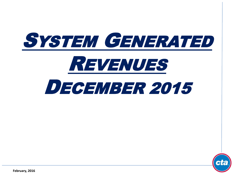



**February, 2016**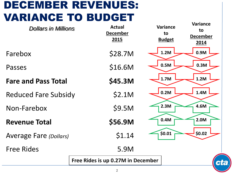## DECEMBER REVENUES: VARIANCE TO BUDGET

| <b>Dollars in Millions</b>    | <b>Actual</b><br><b>December</b><br>2015 | Variance<br>to<br><b>Budget</b> | <b>Variance</b><br>to<br><b>December</b><br>2014 |
|-------------------------------|------------------------------------------|---------------------------------|--------------------------------------------------|
| Farebox                       | \$28.7M                                  | 1.2M                            | 0.9M                                             |
| Passes                        | \$16.6M                                  | 0.5M                            | 0.3M                                             |
| <b>Fare and Pass Total</b>    | \$45.3M                                  | 1.7M                            | 1.2M                                             |
| <b>Reduced Fare Subsidy</b>   | \$2.1M                                   | 0.2M                            | 1.4M                                             |
| Non-Farebox                   | \$9.5M                                   | 2.3M                            | 4.6M                                             |
| <b>Revenue Total</b>          | \$56.9M                                  | 0.4M                            | 2.0M                                             |
| <b>Average Fare (Dollars)</b> | \$1.14                                   | \$0.01                          | \$0.02\$                                         |
| <b>Free Rides</b>             | 5.9M                                     |                                 |                                                  |
|                               | Free Rides is up 0.27M in December       |                                 | ct                                               |
|                               | 2                                        |                                 |                                                  |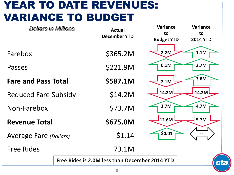### YEAR TO DATE REVENUES: VARIANCE TO BUDGET

| <b>Dollars in Millions</b>    |  | <b>Actual</b>                                  | <b>Variance</b>   | <b>Variance</b> |
|-------------------------------|--|------------------------------------------------|-------------------|-----------------|
|                               |  | December YTD                                   | to                | to              |
|                               |  |                                                | <b>Budget YTD</b> | <b>2014 YTD</b> |
|                               |  |                                                |                   |                 |
| Farebox                       |  | \$365.2M                                       | 2.2M              | 1.1M            |
| Passes                        |  | \$221.9M                                       | 0.1M              | 2.7M            |
|                               |  |                                                |                   |                 |
| <b>Fare and Pass Total</b>    |  | \$587.1M                                       | 2.1M              | 3.8M            |
|                               |  |                                                | 14.2M             | 14.2M           |
| <b>Reduced Fare Subsidy</b>   |  | \$14.2M                                        |                   |                 |
| Non-Farebox                   |  | \$73.7M                                        | 3.7M              | 4.7M            |
|                               |  |                                                |                   |                 |
| <b>Revenue Total</b>          |  | \$675.0M                                       | 12.6M             | 5.7M            |
|                               |  |                                                | \$0.01            |                 |
| <b>Average Fare (Dollars)</b> |  | \$1.14                                         |                   |                 |
| <b>Free Rides</b>             |  | 73.1M                                          |                   |                 |
|                               |  |                                                |                   |                 |
|                               |  | Free Rides is 2.0M less than December 2014 YTD |                   | ct              |
|                               |  |                                                |                   |                 |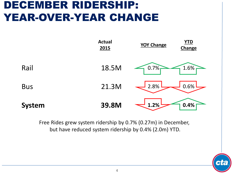### DECEMBER RIDERSHIP: YEAR-OVER-YEAR CHANGE



Free Rides grew system ridership by 0.7% (0.27m) in December, but have reduced system ridership by 0.4% (2.0m) YTD.

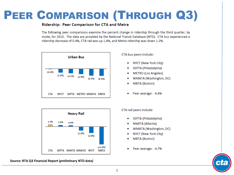# PEER COMPARISON (THROUGH Q3)

### Ridership: Peer Comparison for CTA and Metra

The following peer comparisons examine the percent change in ridership through the third quarter, by mode, for 2015. The data are provided by the National Transit Database (NTD). CTA bus experienced a ridership decrease of 0.4%, CTA rail was up 1.4%, and Metra ridership was down 1.2%.





#### **Source: RTA Q3 Financial Report (preliminary NTD data)**

CTA bus peers include:

- NYCT (New York City)
- SEPTA (Philadelphia)
- **METRO** (Los Angeles)
- WMATA (Washington, DC)
- **MBTA** (Boston)
- Peer average: -4.4%

#### CTA rail peers include:

- SEPTA (Philadelphia)
- MARTA (Atlanta)
- WMATA (Washington, DC)
- NYCT (New York City)
- **MBTA** (Boston)
- Peer average: -4.7%

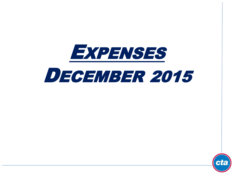

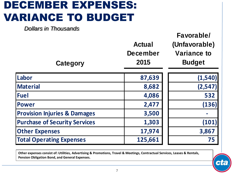## DECEMBER EXPENSES: VARIANCE TO BUDGET

*Dollars in Thousands*

| <b>Category</b>                         | <b>Actual</b><br><b>December</b><br>2015 | Favorable/<br>(Unfavorable)<br><b>Variance to</b><br><b>Budget</b> |
|-----------------------------------------|------------------------------------------|--------------------------------------------------------------------|
| Labor                                   | 87,639                                   | (1, 540)                                                           |
| <b>Material</b>                         | 8,682                                    | (2, 547)                                                           |
| <b>Fuel</b>                             | 4,086                                    | 532                                                                |
| <b>Power</b>                            | 2,477                                    | (136)                                                              |
| <b>Provision Injuries &amp; Damages</b> | 3,500                                    |                                                                    |
| <b>Purchase of Security Services</b>    | 1,303                                    | (101)                                                              |
| <b>Other Expenses</b>                   | 17,974                                   | 3,867                                                              |
| <b>Total Operating Expenses</b>         | 125,661                                  | 75                                                                 |

**Other expenses consist of: Utilities, Advertising & Promotions, Travel & Meetings, Contractual Services, Leases & Rentals, Pension Obligation Bond, and General Expenses.**